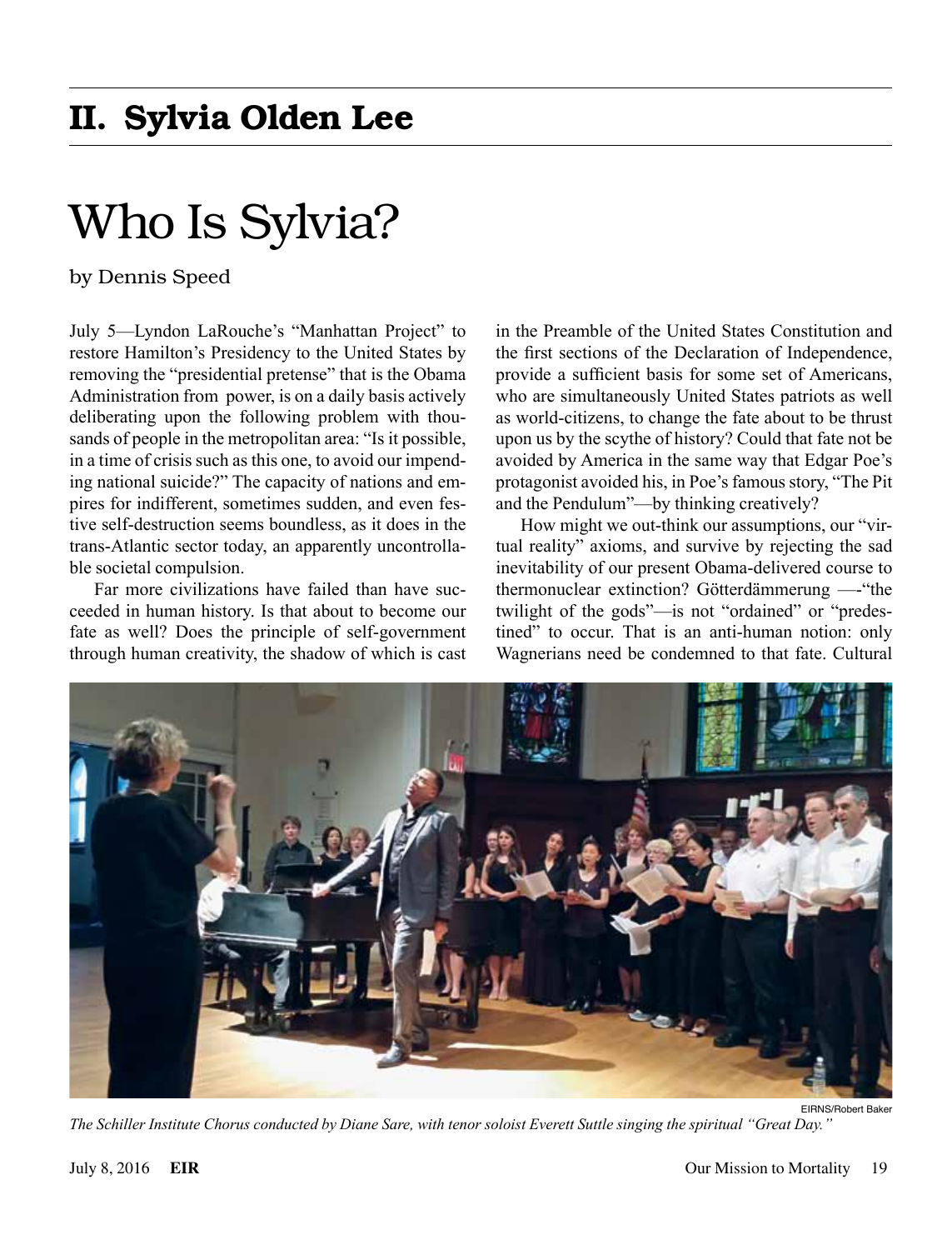# II. Sylvia Olden Lee

# Who Is Sylvia?

by Dennis Speed

July 5—Lyndon LaRouche's "Manhattan Project" to restore Hamilton's Presidency to the United States by removing the "presidential pretense" that is the Obama Administration from power, is on a daily basis actively deliberating upon the following problem with thousands of people in the metropolitan area: "Is it possible, in a time of crisis such as this one, to avoid our impending national suicide?" The capacity of nations and empires for indifferent, sometimes sudden, and even festive self-destruction seems boundless, as it does in the trans-Atlantic sector today, an apparently uncontrollable societal compulsion.

Far more civilizations have failed than have succeeded in human history. Is that about to become our fate as well? Does the principle of self-government through human creativity, the shadow of which is cast in the Preamble of the United States Constitution and the first sections of the Declaration of Independence, provide a sufficient basis for some set of Americans, who are simultaneously United States patriots as well as world-citizens, to change the fate about to be thrust upon us by the scythe of history? Could that fate not be avoided by America in the same way that Edgar Poe's protagonist avoided his, in Poe's famous story, "The Pit and the Pendulum"—by thinking creatively?

How might we out-think our assumptions, our "virtual reality" axioms, and survive by rejecting the sad inevitability of our present Obama-delivered course to thermonuclear extinction? Götterdämmerung —-"the twilight of the gods"—is not "ordained" or "predestined" to occur. That is an anti-human notion: only Wagnerians need be condemned to that fate. Cultural



*The Schiller Institute Chorus conducted by Diane Sare, with tenor soloist Everett Suttle singing the spiritual "Great Day."*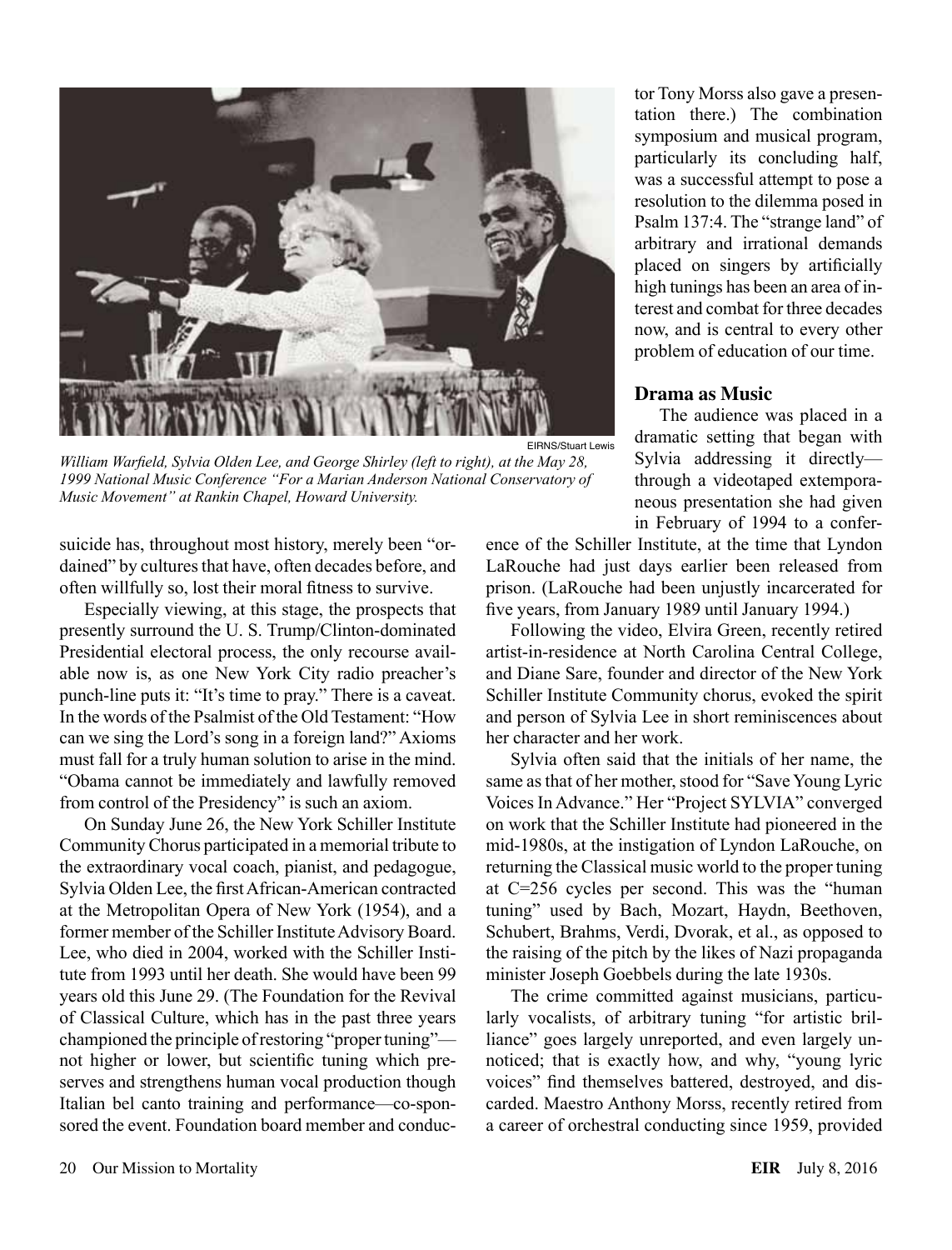

*William Warfield, Sylvia Olden Lee, and George Shirley (left to right), at the May 28, 1999 National Music Conference "For a Marian Anderson National Conservatory of Music Movement" at Rankin Chapel, Howard University.*

suicide has, throughout most history, merely been "ordained" by cultures that have, often decades before, and often willfully so, lost their moral fitness to survive.

Especially viewing, at this stage, the prospects that presently surround the U. S. Trump/Clinton-dominated Presidential electoral process, the only recourse available now is, as one New York City radio preacher's punch-line puts it: "It's time to pray." There is a caveat. In the words of the Psalmist of the Old Testament: "How can we sing the Lord's song in a foreign land?" Axioms must fall for a truly human solution to arise in the mind. "Obama cannot be immediately and lawfully removed from control of the Presidency" is such an axiom.

On Sunday June 26, the New York Schiller Institute Community Chorus participated in a memorial tribute to the extraordinary vocal coach, pianist, and pedagogue, Sylvia Olden Lee, the first African-American contracted at the Metropolitan Opera of New York (1954), and a former member of the Schiller Institute Advisory Board. Lee, who died in 2004, worked with the Schiller Institute from 1993 until her death. She would have been 99 years old this June 29. (The Foundation for the Revival of Classical Culture, which has in the past three years championed the principle of restoring "proper tuning" not higher or lower, but scientific tuning which preserves and strengthens human vocal production though Italian bel canto training and performance—co-sponsored the event. Foundation board member and conduc-

tor Tony Morss also gave a presentation there.) The combination symposium and musical program, particularly its concluding half, was a successful attempt to pose a resolution to the dilemma posed in Psalm 137:4. The "strange land" of arbitrary and irrational demands placed on singers by artificially high tunings has been an area of interest and combat for three decades now, and is central to every other problem of education of our time.

#### **Drama as Music**

The audience was placed in a dramatic setting that began with Sylvia addressing it directly through a videotaped extemporaneous presentation she had given in February of 1994 to a confer-

ence of the Schiller Institute, at the time that Lyndon LaRouche had just days earlier been released from prison. (LaRouche had been unjustly incarcerated for five years, from January 1989 until January 1994.)

Following the video, Elvira Green, recently retired artist-in-residence at North Carolina Central College, and Diane Sare, founder and director of the New York Schiller Institute Community chorus, evoked the spirit and person of Sylvia Lee in short reminiscences about her character and her work.

Sylvia often said that the initials of her name, the same as that of her mother, stood for "Save Young Lyric Voices In Advance." Her "Project SYLVIA" converged on work that the Schiller Institute had pioneered in the mid-1980s, at the instigation of Lyndon LaRouche, on returning the Classical music world to the proper tuning at C=256 cycles per second. This was the "human tuning" used by Bach, Mozart, Haydn, Beethoven, Schubert, Brahms, Verdi, Dvorak, et al., as opposed to the raising of the pitch by the likes of Nazi propaganda minister Joseph Goebbels during the late 1930s.

The crime committed against musicians, particularly vocalists, of arbitrary tuning "for artistic brilliance" goes largely unreported, and even largely unnoticed; that is exactly how, and why, "young lyric voices" find themselves battered, destroyed, and discarded. Maestro Anthony Morss, recently retired from a career of orchestral conducting since 1959, provided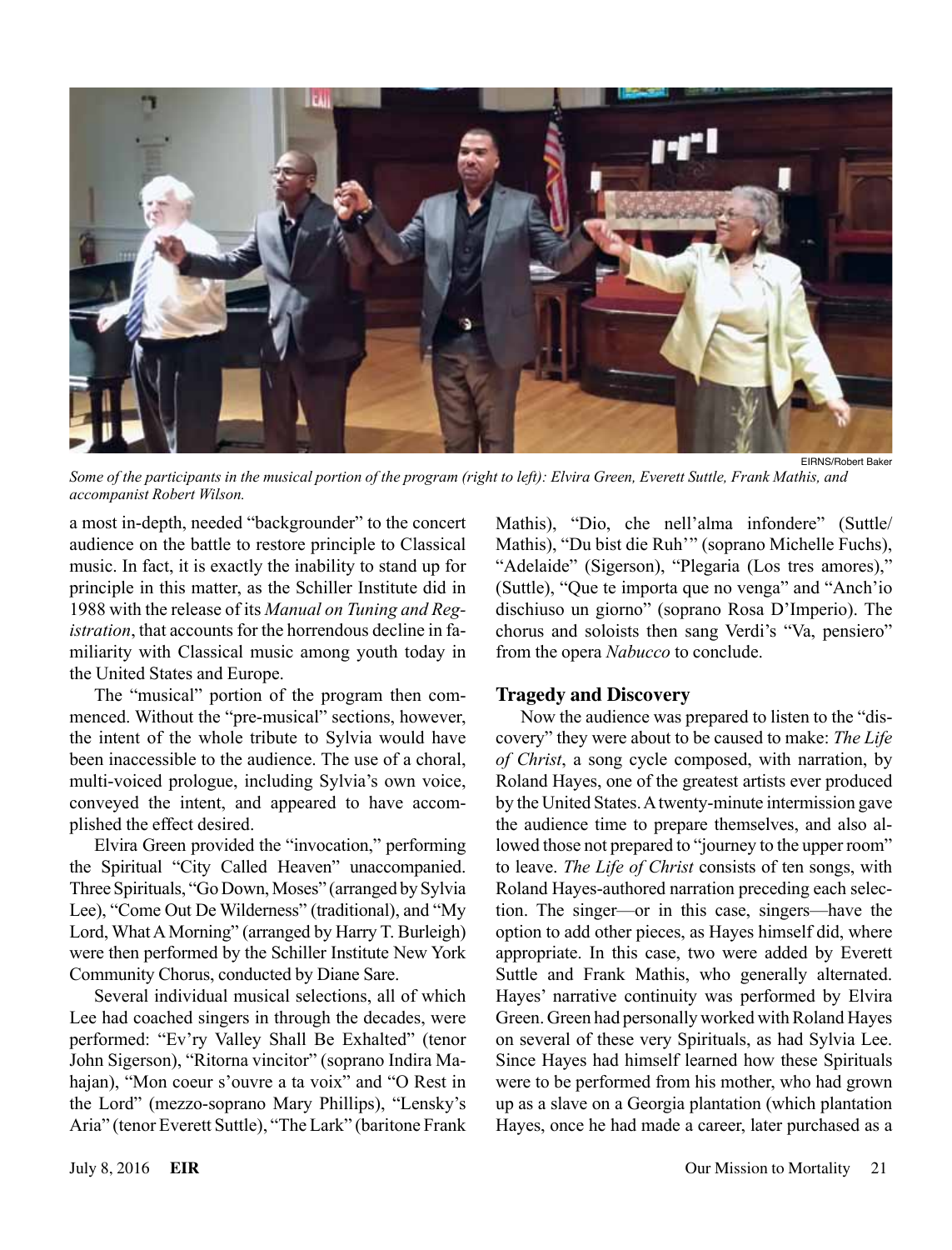

*Some of the participants in the musical portion of the program (right to left): Elvira Green, Everett Suttle, Frank Mathis, and accompanist Robert Wilson.*

a most in-depth, needed "backgrounder" to the concert audience on the battle to restore principle to Classical music. In fact, it is exactly the inability to stand up for principle in this matter, as the Schiller Institute did in 1988 with the release of its *Manual on Tuning and Registration*, that accounts for the horrendous decline in familiarity with Classical music among youth today in the United States and Europe.

The "musical" portion of the program then commenced. Without the "pre-musical" sections, however, the intent of the whole tribute to Sylvia would have been inaccessible to the audience. The use of a choral, multi-voiced prologue, including Sylvia's own voice, conveyed the intent, and appeared to have accomplished the effect desired.

Elvira Green provided the "invocation," performing the Spiritual "City Called Heaven" unaccompanied. Three Spirituals, "Go Down, Moses" (arranged by Sylvia Lee), "Come Out De Wilderness" (traditional), and "My Lord, What A Morning" (arranged by Harry T. Burleigh) were then performed by the Schiller Institute New York Community Chorus, conducted by Diane Sare.

Several individual musical selections, all of which Lee had coached singers in through the decades, were performed: "Ev'ry Valley Shall Be Exhalted" (tenor John Sigerson), "Ritorna vincitor" (soprano Indira Mahajan), "Mon coeur s'ouvre a ta voix" and "O Rest in the Lord" (mezzo-soprano Mary Phillips), "Lensky's Aria" (tenor Everett Suttle), "The Lark" (baritone Frank

Mathis), "Dio, che nell'alma infondere" (Suttle/ Mathis), "Du bist die Ruh'" (soprano Michelle Fuchs), "Adelaide" (Sigerson), "Plegaria (Los tres amores)," (Suttle), "Que te importa que no venga" and "Anch'io dischiuso un giorno" (soprano Rosa D'Imperio). The chorus and soloists then sang Verdi's "Va, pensiero" from the opera *Nabucco* to conclude.

### **Tragedy and Discovery**

Now the audience was prepared to listen to the "discovery" they were about to be caused to make: *The Life of Christ*, a song cycle composed, with narration, by Roland Hayes, one of the greatest artists ever produced by the United States. A twenty-minute intermission gave the audience time to prepare themselves, and also allowed those not prepared to "journey to the upper room" to leave. *The Life of Christ* consists of ten songs, with Roland Hayes-authored narration preceding each selection. The singer—or in this case, singers—have the option to add other pieces, as Hayes himself did, where appropriate. In this case, two were added by Everett Suttle and Frank Mathis, who generally alternated. Hayes' narrative continuity was performed by Elvira Green. Green had personally worked with Roland Hayes on several of these very Spirituals, as had Sylvia Lee. Since Hayes had himself learned how these Spirituals were to be performed from his mother, who had grown up as a slave on a Georgia plantation (which plantation Hayes, once he had made a career, later purchased as a